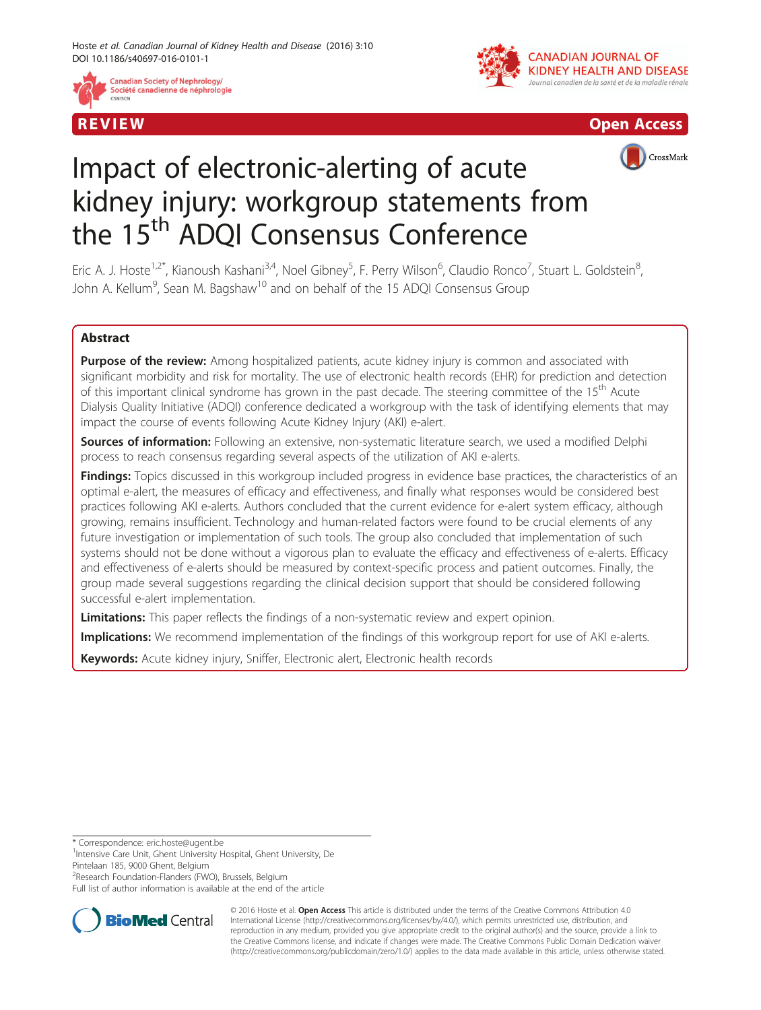

**EVIEW ACCESS AND RESIDENT CONTROL** 





# Impact of electronic-alerting of acute kidney injury: workgroup statements from the 15<sup>th</sup> ADQI Consensus Conference

Eric A. J. Hoste<sup>1,2\*</sup>, Kianoush Kashani<sup>3,4</sup>, Noel Gibney<sup>5</sup>, F. Perry Wilson<sup>6</sup>, Claudio Ronco<sup>7</sup>, Stuart L. Goldstein<sup>8</sup> , John A. Kellum<sup>9</sup>, Sean M. Bagshaw<sup>10</sup> and on behalf of the 15 ADQI Consensus Group

# Abstract

Purpose of the review: Among hospitalized patients, acute kidney injury is common and associated with significant morbidity and risk for mortality. The use of electronic health records (EHR) for prediction and detection of this important clinical syndrome has grown in the past decade. The steering committee of the 15<sup>th</sup> Acute Dialysis Quality Initiative (ADQI) conference dedicated a workgroup with the task of identifying elements that may impact the course of events following Acute Kidney Injury (AKI) e-alert.

Sources of information: Following an extensive, non-systematic literature search, we used a modified Delphi process to reach consensus regarding several aspects of the utilization of AKI e-alerts.

Findings: Topics discussed in this workgroup included progress in evidence base practices, the characteristics of an optimal e-alert, the measures of efficacy and effectiveness, and finally what responses would be considered best practices following AKI e-alerts. Authors concluded that the current evidence for e-alert system efficacy, although growing, remains insufficient. Technology and human-related factors were found to be crucial elements of any future investigation or implementation of such tools. The group also concluded that implementation of such systems should not be done without a vigorous plan to evaluate the efficacy and effectiveness of e-alerts. Efficacy and effectiveness of e-alerts should be measured by context-specific process and patient outcomes. Finally, the group made several suggestions regarding the clinical decision support that should be considered following successful e-alert implementation.

Limitations: This paper reflects the findings of a non-systematic review and expert opinion.

Implications: We recommend implementation of the findings of this workgroup report for use of AKI e-alerts.

Keywords: Acute kidney injury, Sniffer, Electronic alert, Electronic health records

\* Correspondence: [eric.hoste@ugent.be](mailto:eric.hoste@ugent.be) <sup>1</sup>

<sup>1</sup>Intensive Care Unit, Ghent University Hospital, Ghent University, De Pintelaan 185, 9000 Ghent, Belgium

<sup>2</sup>Research Foundation-Flanders (FWO), Brussels, Belgium

Full list of author information is available at the end of the article



© 2016 Hoste et al. Open Access This article is distributed under the terms of the Creative Commons Attribution 4.0 International License [\(http://creativecommons.org/licenses/by/4.0/](http://creativecommons.org/licenses/by/4.0/)), which permits unrestricted use, distribution, and reproduction in any medium, provided you give appropriate credit to the original author(s) and the source, provide a link to the Creative Commons license, and indicate if changes were made. The Creative Commons Public Domain Dedication waiver [\(http://creativecommons.org/publicdomain/zero/1.0/](http://creativecommons.org/publicdomain/zero/1.0/)) applies to the data made available in this article, unless otherwise stated.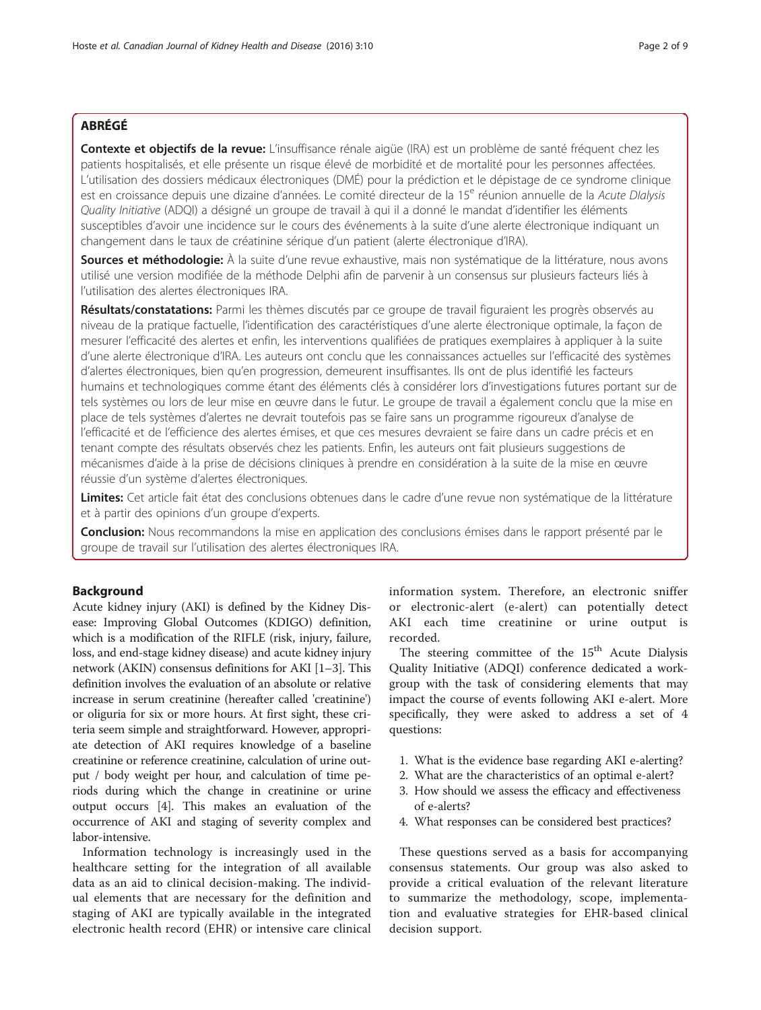## ABRÉGÉ

Contexte et objectifs de la revue: L'insuffisance rénale aigüe (IRA) est un problème de santé fréquent chez les patients hospitalisés, et elle présente un risque élevé de morbidité et de mortalité pour les personnes affectées. L'utilisation des dossiers médicaux électroniques (DMÉ) pour la prédiction et le dépistage de ce syndrome clinique est en croissance depuis une dizaine d'années. Le comité directeur de la 15<sup>e</sup> réunion annuelle de la Acute Dlalysis Quality Initiative (ADQI) a désigné un groupe de travail à qui il a donné le mandat d'identifier les éléments susceptibles d'avoir une incidence sur le cours des événements à la suite d'une alerte électronique indiquant un changement dans le taux de créatinine sérique d'un patient (alerte électronique d'IRA).

Sources et méthodologie: À la suite d'une revue exhaustive, mais non systématique de la littérature, nous avons utilisé une version modifiée de la méthode Delphi afin de parvenir à un consensus sur plusieurs facteurs liés à l'utilisation des alertes électroniques IRA.

Résultats/constatations: Parmi les thèmes discutés par ce groupe de travail figuraient les progrès observés au niveau de la pratique factuelle, l'identification des caractéristiques d'une alerte électronique optimale, la façon de mesurer l'efficacité des alertes et enfin, les interventions qualifiées de pratiques exemplaires à appliquer à la suite d'une alerte électronique d'IRA. Les auteurs ont conclu que les connaissances actuelles sur l'efficacité des systèmes d'alertes électroniques, bien qu'en progression, demeurent insuffisantes. Ils ont de plus identifié les facteurs humains et technologiques comme étant des éléments clés à considérer lors d'investigations futures portant sur de tels systèmes ou lors de leur mise en œuvre dans le futur. Le groupe de travail a également conclu que la mise en place de tels systèmes d'alertes ne devrait toutefois pas se faire sans un programme rigoureux d'analyse de l'efficacité et de l'efficience des alertes émises, et que ces mesures devraient se faire dans un cadre précis et en tenant compte des résultats observés chez les patients. Enfin, les auteurs ont fait plusieurs suggestions de mécanismes d'aide à la prise de décisions cliniques à prendre en considération à la suite de la mise en œuvre réussie d'un système d'alertes électroniques.

Limites: Cet article fait état des conclusions obtenues dans le cadre d'une revue non systématique de la littérature et à partir des opinions d'un groupe d'experts.

Conclusion: Nous recommandons la mise en application des conclusions émises dans le rapport présenté par le groupe de travail sur l'utilisation des alertes électroniques IRA.

## Background

Acute kidney injury (AKI) is defined by the Kidney Disease: Improving Global Outcomes (KDIGO) definition, which is a modification of the RIFLE (risk, injury, failure, loss, and end-stage kidney disease) and acute kidney injury network (AKIN) consensus definitions for AKI [\[1](#page-7-0)–[3](#page-7-0)]. This definition involves the evaluation of an absolute or relative increase in serum creatinine (hereafter called 'creatinine') or oliguria for six or more hours. At first sight, these criteria seem simple and straightforward. However, appropriate detection of AKI requires knowledge of a baseline creatinine or reference creatinine, calculation of urine output / body weight per hour, and calculation of time periods during which the change in creatinine or urine output occurs [\[4](#page-7-0)]. This makes an evaluation of the occurrence of AKI and staging of severity complex and labor-intensive.

Information technology is increasingly used in the healthcare setting for the integration of all available data as an aid to clinical decision-making. The individual elements that are necessary for the definition and staging of AKI are typically available in the integrated electronic health record (EHR) or intensive care clinical

information system. Therefore, an electronic sniffer or electronic-alert (e-alert) can potentially detect AKI each time creatinine or urine output is recorded.

The steering committee of the  $15<sup>th</sup>$  Acute Dialysis Quality Initiative (ADQI) conference dedicated a workgroup with the task of considering elements that may impact the course of events following AKI e-alert. More specifically, they were asked to address a set of 4 questions:

- 1. What is the evidence base regarding AKI e-alerting?
- 2. What are the characteristics of an optimal e-alert?
- 3. How should we assess the efficacy and effectiveness of e-alerts?
- 4. What responses can be considered best practices?

These questions served as a basis for accompanying consensus statements. Our group was also asked to provide a critical evaluation of the relevant literature to summarize the methodology, scope, implementation and evaluative strategies for EHR-based clinical decision support.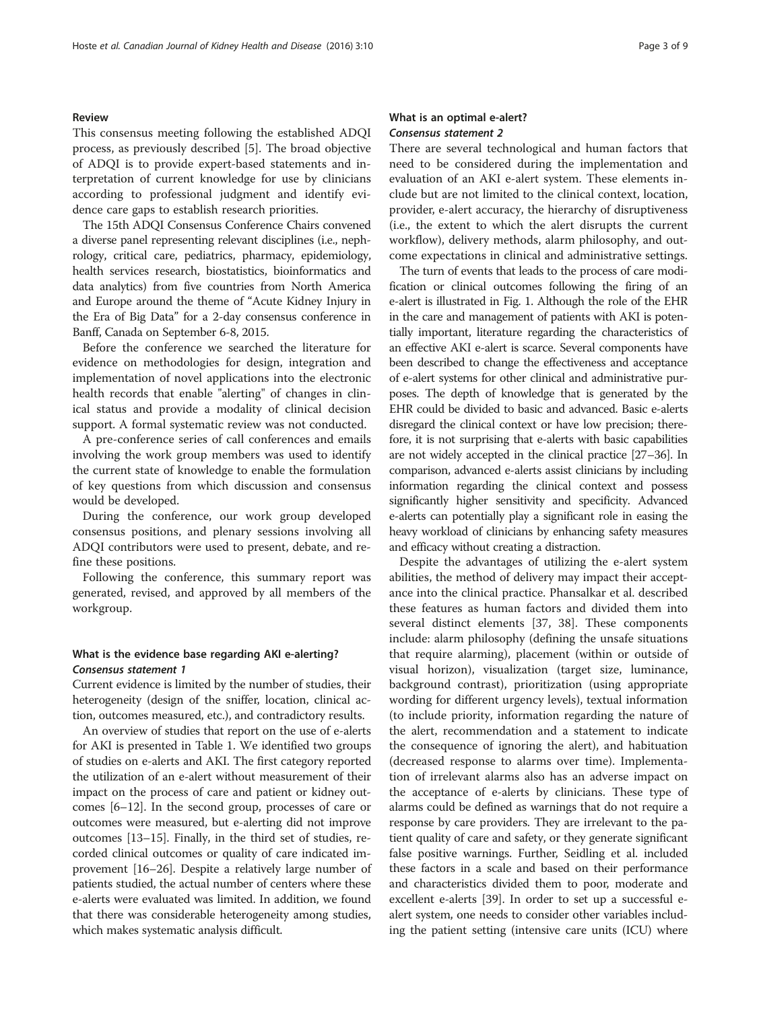## Review

This consensus meeting following the established ADQI process, as previously described [[5](#page-7-0)]. The broad objective of ADQI is to provide expert-based statements and interpretation of current knowledge for use by clinicians according to professional judgment and identify evidence care gaps to establish research priorities.

The 15th ADQI Consensus Conference Chairs convened a diverse panel representing relevant disciplines (i.e., nephrology, critical care, pediatrics, pharmacy, epidemiology, health services research, biostatistics, bioinformatics and data analytics) from five countries from North America and Europe around the theme of "Acute Kidney Injury in the Era of Big Data" for a 2-day consensus conference in Banff, Canada on September 6-8, 2015.

Before the conference we searched the literature for evidence on methodologies for design, integration and implementation of novel applications into the electronic health records that enable "alerting" of changes in clinical status and provide a modality of clinical decision support. A formal systematic review was not conducted.

A pre-conference series of call conferences and emails involving the work group members was used to identify the current state of knowledge to enable the formulation of key questions from which discussion and consensus would be developed.

During the conference, our work group developed consensus positions, and plenary sessions involving all ADQI contributors were used to present, debate, and refine these positions.

Following the conference, this summary report was generated, revised, and approved by all members of the workgroup.

## What is the evidence base regarding AKI e-alerting? Consensus statement 1

Current evidence is limited by the number of studies, their heterogeneity (design of the sniffer, location, clinical action, outcomes measured, etc.), and contradictory results.

An overview of studies that report on the use of e-alerts for AKI is presented in Table [1](#page-3-0). We identified two groups of studies on e-alerts and AKI. The first category reported the utilization of an e-alert without measurement of their impact on the process of care and patient or kidney outcomes [\[6](#page-7-0)–[12](#page-7-0)]. In the second group, processes of care or outcomes were measured, but e-alerting did not improve outcomes [\[13](#page-7-0)–[15](#page-7-0)]. Finally, in the third set of studies, recorded clinical outcomes or quality of care indicated improvement [\[16](#page-7-0)–[26](#page-7-0)]. Despite a relatively large number of patients studied, the actual number of centers where these e-alerts were evaluated was limited. In addition, we found that there was considerable heterogeneity among studies, which makes systematic analysis difficult.

## What is an optimal e-alert? Consensus statement 2

There are several technological and human factors that need to be considered during the implementation and evaluation of an AKI e-alert system. These elements include but are not limited to the clinical context, location, provider, e-alert accuracy, the hierarchy of disruptiveness (i.e., the extent to which the alert disrupts the current workflow), delivery methods, alarm philosophy, and outcome expectations in clinical and administrative settings.

The turn of events that leads to the process of care modification or clinical outcomes following the firing of an e-alert is illustrated in Fig. [1.](#page-4-0) Although the role of the EHR in the care and management of patients with AKI is potentially important, literature regarding the characteristics of an effective AKI e-alert is scarce. Several components have been described to change the effectiveness and acceptance of e-alert systems for other clinical and administrative purposes. The depth of knowledge that is generated by the EHR could be divided to basic and advanced. Basic e-alerts disregard the clinical context or have low precision; therefore, it is not surprising that e-alerts with basic capabilities are not widely accepted in the clinical practice [\[27](#page-7-0)–[36\]](#page-8-0). In comparison, advanced e-alerts assist clinicians by including information regarding the clinical context and possess significantly higher sensitivity and specificity. Advanced e-alerts can potentially play a significant role in easing the heavy workload of clinicians by enhancing safety measures and efficacy without creating a distraction.

Despite the advantages of utilizing the e-alert system abilities, the method of delivery may impact their acceptance into the clinical practice. Phansalkar et al. described these features as human factors and divided them into several distinct elements [[37](#page-8-0), [38](#page-8-0)]. These components include: alarm philosophy (defining the unsafe situations that require alarming), placement (within or outside of visual horizon), visualization (target size, luminance, background contrast), prioritization (using appropriate wording for different urgency levels), textual information (to include priority, information regarding the nature of the alert, recommendation and a statement to indicate the consequence of ignoring the alert), and habituation (decreased response to alarms over time). Implementation of irrelevant alarms also has an adverse impact on the acceptance of e-alerts by clinicians. These type of alarms could be defined as warnings that do not require a response by care providers. They are irrelevant to the patient quality of care and safety, or they generate significant false positive warnings. Further, Seidling et al. included these factors in a scale and based on their performance and characteristics divided them to poor, moderate and excellent e-alerts [\[39\]](#page-8-0). In order to set up a successful ealert system, one needs to consider other variables including the patient setting (intensive care units (ICU) where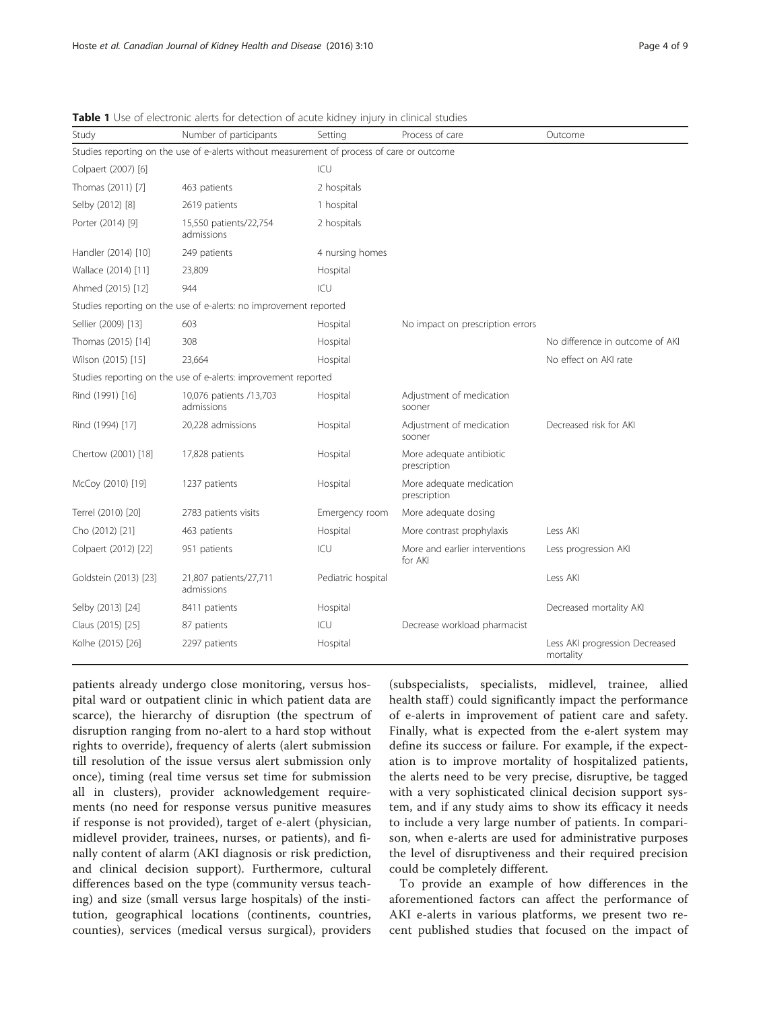| Study                                                                                      | Number of participants                | Setting            | Process of care                           | Outcome                                     |
|--------------------------------------------------------------------------------------------|---------------------------------------|--------------------|-------------------------------------------|---------------------------------------------|
| Studies reporting on the use of e-alerts without measurement of process of care or outcome |                                       |                    |                                           |                                             |
| Colpaert (2007) [6]                                                                        |                                       | ICU                |                                           |                                             |
| Thomas (2011) [7]                                                                          | 463 patients                          | 2 hospitals        |                                           |                                             |
| Selby (2012) [8]                                                                           | 2619 patients                         | 1 hospital         |                                           |                                             |
| Porter (2014) [9]                                                                          | 15,550 patients/22,754<br>admissions  | 2 hospitals        |                                           |                                             |
| Handler (2014) [10]                                                                        | 249 patients                          | 4 nursing homes    |                                           |                                             |
| Wallace (2014) [11]                                                                        | 23,809                                | Hospital           |                                           |                                             |
| Ahmed (2015) [12]                                                                          | 944                                   | ICU                |                                           |                                             |
| Studies reporting on the use of e-alerts: no improvement reported                          |                                       |                    |                                           |                                             |
| Sellier (2009) [13]                                                                        | 603                                   | Hospital           | No impact on prescription errors          |                                             |
| Thomas (2015) [14]                                                                         | 308                                   | Hospital           |                                           | No difference in outcome of AKI             |
| Wilson (2015) [15]                                                                         | 23,664                                | Hospital           |                                           | No effect on AKI rate                       |
| Studies reporting on the use of e-alerts: improvement reported                             |                                       |                    |                                           |                                             |
| Rind (1991) [16]                                                                           | 10,076 patients /13,703<br>admissions | Hospital           | Adjustment of medication<br>sooner        |                                             |
| Rind (1994) [17]                                                                           | 20,228 admissions                     | Hospital           | Adjustment of medication<br>sooner        | Decreased risk for AKI                      |
| Chertow (2001) [18]                                                                        | 17,828 patients                       | Hospital           | More adequate antibiotic<br>prescription  |                                             |
| McCoy (2010) [19]                                                                          | 1237 patients                         | Hospital           | More adequate medication<br>prescription  |                                             |
| Terrel (2010) [20]                                                                         | 2783 patients visits                  | Emergency room     | More adequate dosing                      |                                             |
| Cho (2012) [21]                                                                            | 463 patients                          | Hospital           | More contrast prophylaxis                 | Less AKI                                    |
| Colpaert (2012) [22]                                                                       | 951 patients                          | ICU                | More and earlier interventions<br>for AKI | Less progression AKI                        |
| Goldstein (2013) [23]                                                                      | 21,807 patients/27,711<br>admissions  | Pediatric hospital |                                           | Less AKI                                    |
| Selby (2013) [24]                                                                          | 8411 patients                         | Hospital           |                                           | Decreased mortality AKI                     |
| Claus (2015) [25]                                                                          | 87 patients                           | ICU                | Decrease workload pharmacist              |                                             |
| Kolhe (2015) [26]                                                                          | 2297 patients                         | Hospital           |                                           | Less AKI progression Decreased<br>mortality |

<span id="page-3-0"></span>Table 1 Use of electronic alerts for detection of acute kidney injury in clinical studies

patients already undergo close monitoring, versus hospital ward or outpatient clinic in which patient data are scarce), the hierarchy of disruption (the spectrum of disruption ranging from no-alert to a hard stop without rights to override), frequency of alerts (alert submission till resolution of the issue versus alert submission only once), timing (real time versus set time for submission all in clusters), provider acknowledgement requirements (no need for response versus punitive measures if response is not provided), target of e-alert (physician, midlevel provider, trainees, nurses, or patients), and finally content of alarm (AKI diagnosis or risk prediction, and clinical decision support). Furthermore, cultural differences based on the type (community versus teaching) and size (small versus large hospitals) of the institution, geographical locations (continents, countries, counties), services (medical versus surgical), providers

(subspecialists, specialists, midlevel, trainee, allied health staff) could significantly impact the performance of e-alerts in improvement of patient care and safety. Finally, what is expected from the e-alert system may define its success or failure. For example, if the expectation is to improve mortality of hospitalized patients, the alerts need to be very precise, disruptive, be tagged with a very sophisticated clinical decision support system, and if any study aims to show its efficacy it needs to include a very large number of patients. In comparison, when e-alerts are used for administrative purposes the level of disruptiveness and their required precision could be completely different.

To provide an example of how differences in the aforementioned factors can affect the performance of AKI e-alerts in various platforms, we present two recent published studies that focused on the impact of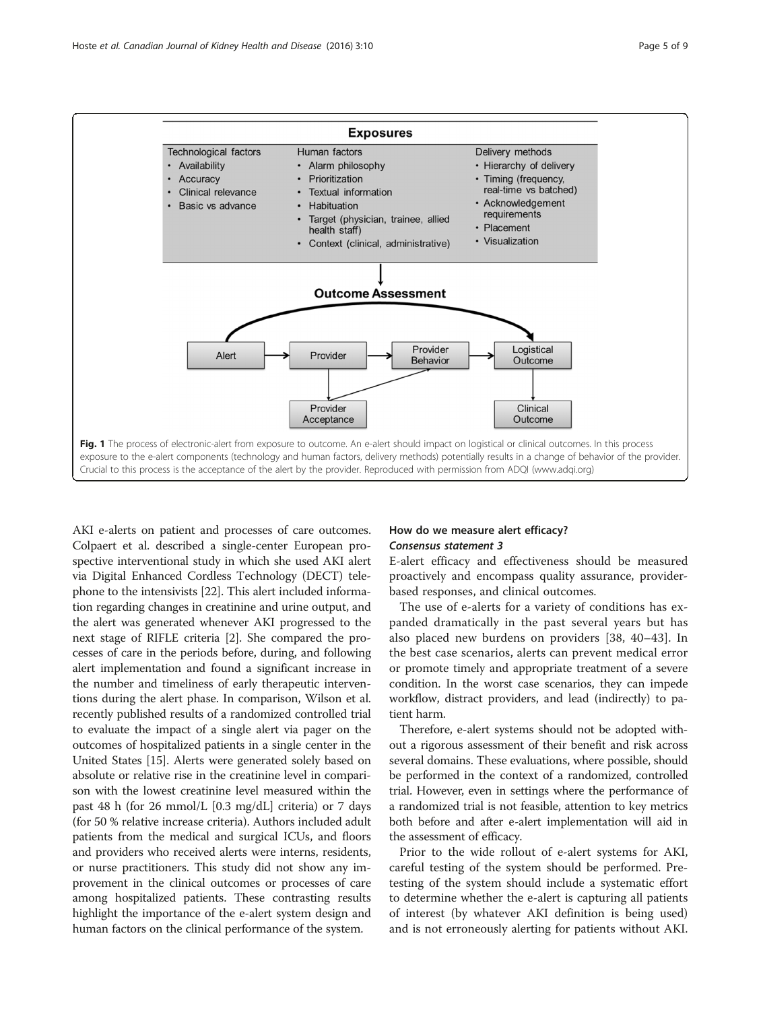<span id="page-4-0"></span>

AKI e-alerts on patient and processes of care outcomes. Colpaert et al. described a single-center European prospective interventional study in which she used AKI alert via Digital Enhanced Cordless Technology (DECT) telephone to the intensivists [\[22\]](#page-7-0). This alert included information regarding changes in creatinine and urine output, and the alert was generated whenever AKI progressed to the next stage of RIFLE criteria [\[2](#page-7-0)]. She compared the processes of care in the periods before, during, and following alert implementation and found a significant increase in the number and timeliness of early therapeutic interventions during the alert phase. In comparison, Wilson et al. recently published results of a randomized controlled trial to evaluate the impact of a single alert via pager on the outcomes of hospitalized patients in a single center in the United States [[15](#page-7-0)]. Alerts were generated solely based on absolute or relative rise in the creatinine level in comparison with the lowest creatinine level measured within the past 48 h (for 26 mmol/L [0.3 mg/dL] criteria) or 7 days (for 50 % relative increase criteria). Authors included adult patients from the medical and surgical ICUs, and floors and providers who received alerts were interns, residents, or nurse practitioners. This study did not show any improvement in the clinical outcomes or processes of care among hospitalized patients. These contrasting results highlight the importance of the e-alert system design and human factors on the clinical performance of the system.

## How do we measure alert efficacy? Consensus statement 3

E-alert efficacy and effectiveness should be measured proactively and encompass quality assurance, providerbased responses, and clinical outcomes.

The use of e-alerts for a variety of conditions has expanded dramatically in the past several years but has also placed new burdens on providers [\[38](#page-8-0), [40](#page-8-0)–[43\]](#page-8-0). In the best case scenarios, alerts can prevent medical error or promote timely and appropriate treatment of a severe condition. In the worst case scenarios, they can impede workflow, distract providers, and lead (indirectly) to patient harm.

Therefore, e-alert systems should not be adopted without a rigorous assessment of their benefit and risk across several domains. These evaluations, where possible, should be performed in the context of a randomized, controlled trial. However, even in settings where the performance of a randomized trial is not feasible, attention to key metrics both before and after e-alert implementation will aid in the assessment of efficacy.

Prior to the wide rollout of e-alert systems for AKI, careful testing of the system should be performed. Pretesting of the system should include a systematic effort to determine whether the e-alert is capturing all patients of interest (by whatever AKI definition is being used) and is not erroneously alerting for patients without AKI.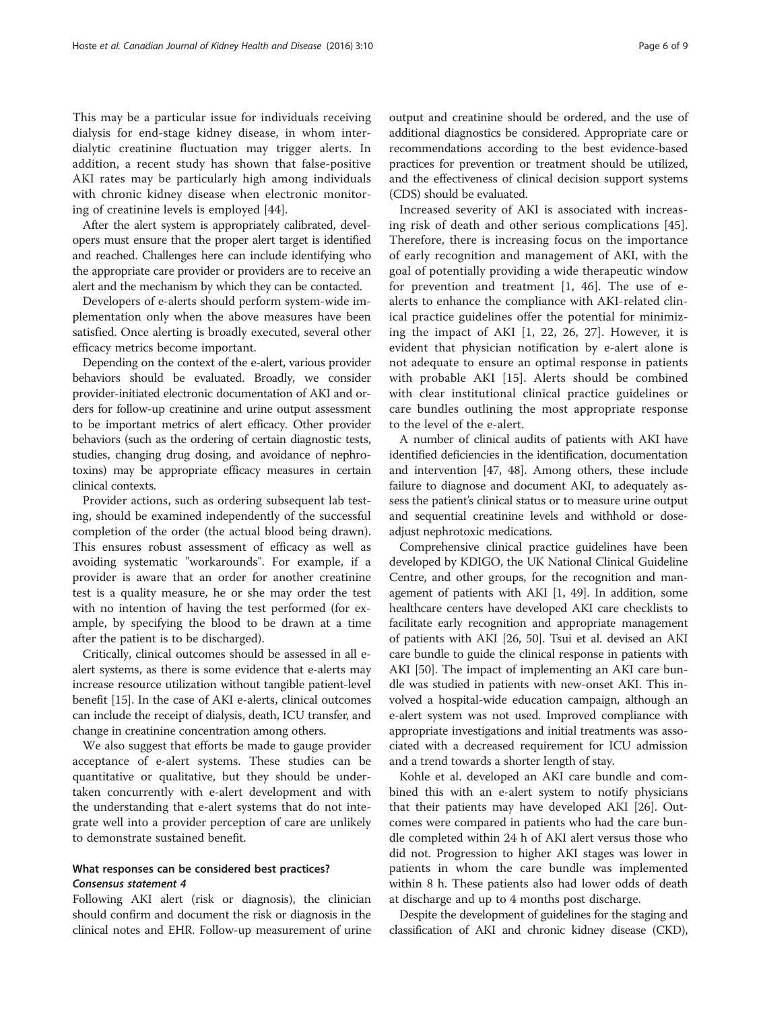This may be a particular issue for individuals receiving dialysis for end-stage kidney disease, in whom interdialytic creatinine fluctuation may trigger alerts. In addition, a recent study has shown that false-positive AKI rates may be particularly high among individuals with chronic kidney disease when electronic monitoring of creatinine levels is employed [[44\]](#page-8-0).

After the alert system is appropriately calibrated, developers must ensure that the proper alert target is identified and reached. Challenges here can include identifying who the appropriate care provider or providers are to receive an alert and the mechanism by which they can be contacted.

Developers of e-alerts should perform system-wide implementation only when the above measures have been satisfied. Once alerting is broadly executed, several other efficacy metrics become important.

Depending on the context of the e-alert, various provider behaviors should be evaluated. Broadly, we consider provider-initiated electronic documentation of AKI and orders for follow-up creatinine and urine output assessment to be important metrics of alert efficacy. Other provider behaviors (such as the ordering of certain diagnostic tests, studies, changing drug dosing, and avoidance of nephrotoxins) may be appropriate efficacy measures in certain clinical contexts.

Provider actions, such as ordering subsequent lab testing, should be examined independently of the successful completion of the order (the actual blood being drawn). This ensures robust assessment of efficacy as well as avoiding systematic "workarounds". For example, if a provider is aware that an order for another creatinine test is a quality measure, he or she may order the test with no intention of having the test performed (for example, by specifying the blood to be drawn at a time after the patient is to be discharged).

Critically, clinical outcomes should be assessed in all ealert systems, as there is some evidence that e-alerts may increase resource utilization without tangible patient-level benefit [\[15\]](#page-7-0). In the case of AKI e-alerts, clinical outcomes can include the receipt of dialysis, death, ICU transfer, and change in creatinine concentration among others.

We also suggest that efforts be made to gauge provider acceptance of e-alert systems. These studies can be quantitative or qualitative, but they should be undertaken concurrently with e-alert development and with the understanding that e-alert systems that do not integrate well into a provider perception of care are unlikely to demonstrate sustained benefit.

## What responses can be considered best practices? Consensus statement 4

Following AKI alert (risk or diagnosis), the clinician should confirm and document the risk or diagnosis in the clinical notes and EHR. Follow-up measurement of urine output and creatinine should be ordered, and the use of additional diagnostics be considered. Appropriate care or recommendations according to the best evidence-based practices for prevention or treatment should be utilized, and the effectiveness of clinical decision support systems (CDS) should be evaluated.

Increased severity of AKI is associated with increasing risk of death and other serious complications [\[45](#page-8-0)]. Therefore, there is increasing focus on the importance of early recognition and management of AKI, with the goal of potentially providing a wide therapeutic window for prevention and treatment  $[1, 46]$  $[1, 46]$  $[1, 46]$  $[1, 46]$ . The use of ealerts to enhance the compliance with AKI-related clinical practice guidelines offer the potential for minimizing the impact of AKI [[1, 22, 26, 27\]](#page-7-0). However, it is evident that physician notification by e-alert alone is not adequate to ensure an optimal response in patients with probable AKI [[15\]](#page-7-0). Alerts should be combined with clear institutional clinical practice guidelines or care bundles outlining the most appropriate response to the level of the e-alert.

A number of clinical audits of patients with AKI have identified deficiencies in the identification, documentation and intervention [\[47, 48](#page-8-0)]. Among others, these include failure to diagnose and document AKI, to adequately assess the patient's clinical status or to measure urine output and sequential creatinine levels and withhold or doseadjust nephrotoxic medications.

Comprehensive clinical practice guidelines have been developed by KDIGO, the UK National Clinical Guideline Centre, and other groups, for the recognition and management of patients with AKI [[1,](#page-7-0) [49](#page-8-0)]. In addition, some healthcare centers have developed AKI care checklists to facilitate early recognition and appropriate management of patients with AKI [\[26](#page-7-0), [50\]](#page-8-0). Tsui et al. devised an AKI care bundle to guide the clinical response in patients with AKI [[50](#page-8-0)]. The impact of implementing an AKI care bundle was studied in patients with new-onset AKI. This involved a hospital-wide education campaign, although an e-alert system was not used. Improved compliance with appropriate investigations and initial treatments was associated with a decreased requirement for ICU admission and a trend towards a shorter length of stay.

Kohle et al. developed an AKI care bundle and combined this with an e-alert system to notify physicians that their patients may have developed AKI [[26](#page-7-0)]. Outcomes were compared in patients who had the care bundle completed within 24 h of AKI alert versus those who did not. Progression to higher AKI stages was lower in patients in whom the care bundle was implemented within 8 h. These patients also had lower odds of death at discharge and up to 4 months post discharge.

Despite the development of guidelines for the staging and classification of AKI and chronic kidney disease (CKD),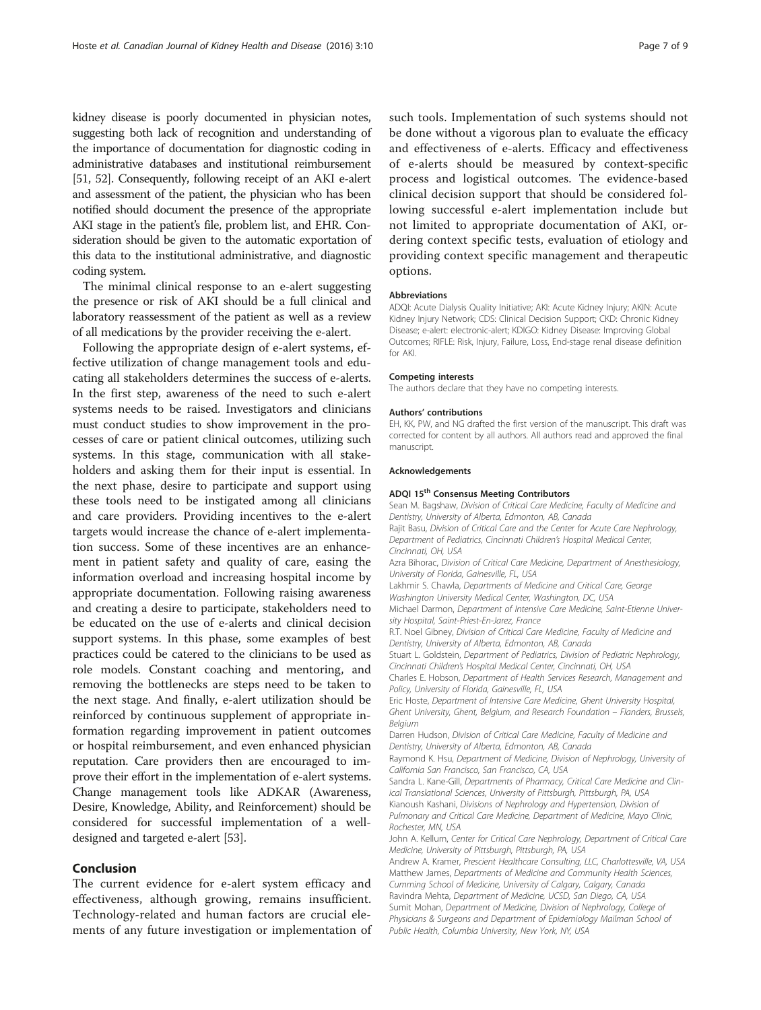kidney disease is poorly documented in physician notes, suggesting both lack of recognition and understanding of the importance of documentation for diagnostic coding in administrative databases and institutional reimbursement [[51](#page-8-0), [52](#page-8-0)]. Consequently, following receipt of an AKI e-alert and assessment of the patient, the physician who has been notified should document the presence of the appropriate AKI stage in the patient's file, problem list, and EHR. Consideration should be given to the automatic exportation of this data to the institutional administrative, and diagnostic coding system.

The minimal clinical response to an e-alert suggesting the presence or risk of AKI should be a full clinical and laboratory reassessment of the patient as well as a review of all medications by the provider receiving the e-alert.

Following the appropriate design of e-alert systems, effective utilization of change management tools and educating all stakeholders determines the success of e-alerts. In the first step, awareness of the need to such e-alert systems needs to be raised. Investigators and clinicians must conduct studies to show improvement in the processes of care or patient clinical outcomes, utilizing such systems. In this stage, communication with all stakeholders and asking them for their input is essential. In the next phase, desire to participate and support using these tools need to be instigated among all clinicians and care providers. Providing incentives to the e-alert targets would increase the chance of e-alert implementation success. Some of these incentives are an enhancement in patient safety and quality of care, easing the information overload and increasing hospital income by appropriate documentation. Following raising awareness and creating a desire to participate, stakeholders need to be educated on the use of e-alerts and clinical decision support systems. In this phase, some examples of best practices could be catered to the clinicians to be used as role models. Constant coaching and mentoring, and removing the bottlenecks are steps need to be taken to the next stage. And finally, e-alert utilization should be reinforced by continuous supplement of appropriate information regarding improvement in patient outcomes or hospital reimbursement, and even enhanced physician reputation. Care providers then are encouraged to improve their effort in the implementation of e-alert systems. Change management tools like ADKAR (Awareness, Desire, Knowledge, Ability, and Reinforcement) should be considered for successful implementation of a welldesigned and targeted e-alert [\[53\]](#page-8-0).

## Conclusion

The current evidence for e-alert system efficacy and effectiveness, although growing, remains insufficient. Technology-related and human factors are crucial elements of any future investigation or implementation of

such tools. Implementation of such systems should not be done without a vigorous plan to evaluate the efficacy and effectiveness of e-alerts. Efficacy and effectiveness of e-alerts should be measured by context-specific process and logistical outcomes. The evidence-based clinical decision support that should be considered following successful e-alert implementation include but not limited to appropriate documentation of AKI, ordering context specific tests, evaluation of etiology and providing context specific management and therapeutic options.

#### Abbreviations

ADQI: Acute Dialysis Quality Initiative; AKI: Acute Kidney Injury; AKIN: Acute Kidney Injury Network; CDS: Clinical Decision Support; CKD: Chronic Kidney Disease; e-alert: electronic-alert; KDIGO: Kidney Disease: Improving Global Outcomes; RIFLE: Risk, Injury, Failure, Loss, End-stage renal disease definition for AKI.

#### Competing interests

The authors declare that they have no competing interests.

#### Authors' contributions

EH, KK, PW, and NG drafted the first version of the manuscript. This draft was corrected for content by all authors. All authors read and approved the final manuscript.

#### Acknowledgements

### ADQI 15<sup>th</sup> Consensus Meeting Contributors

Sean M. Bagshaw, Division of Critical Care Medicine, Faculty of Medicine and Dentistry, University of Alberta, Edmonton, AB, Canada

Rajit Basu, Division of Critical Care and the Center for Acute Care Nephrology, Department of Pediatrics, Cincinnati Children's Hospital Medical Center, Cincinnati, OH, USA

Azra Bihorac, Division of Critical Care Medicine, Department of Anesthesiology, University of Florida, Gainesville, FL, USA

Lakhmir S. Chawla, Departments of Medicine and Critical Care, George Washington University Medical Center, Washington, DC, USA

Michael Darmon, Department of Intensive Care Medicine, Saint-Etienne University Hospital, Saint-Priest-En-Jarez, France

R.T. Noel Gibney, Division of Critical Care Medicine, Faculty of Medicine and Dentistry, University of Alberta, Edmonton, AB, Canada

Stuart L. Goldstein, Department of Pediatrics, Division of Pediatric Nephrology, Cincinnati Children's Hospital Medical Center, Cincinnati, OH, USA

Charles E. Hobson, Department of Health Services Research, Management and Policy, University of Florida, Gainesville, FL, USA

Eric Hoste, Department of Intensive Care Medicine, Ghent University Hospital, Ghent University, Ghent, Belgium, and Research Foundation – Flanders, Brussels, Belgium

Darren Hudson, Division of Critical Care Medicine, Faculty of Medicine and Dentistry, University of Alberta, Edmonton, AB, Canada

Raymond K. Hsu, Department of Medicine, Division of Nephrology, University of California San Francisco, San Francisco, CA, USA

Sandra L. Kane-Gill, Departments of Pharmacy, Critical Care Medicine and Clinical Translational Sciences, University of Pittsburgh, Pittsburgh, PA, USA Kianoush Kashani, Divisions of Nephrology and Hypertension, Division of Pulmonary and Critical Care Medicine, Department of Medicine, Mayo Clinic, Rochester, MN, USA

John A. Kellum, Center for Critical Care Nephrology, Department of Critical Care Medicine, University of Pittsburgh, Pittsburgh, PA, USA

Andrew A. Kramer, Prescient Healthcare Consulting, LLC, Charlottesville, VA, USA Matthew James, Departments of Medicine and Community Health Sciences, Cumming School of Medicine, University of Calgary, Calgary, Canada Ravindra Mehta, Department of Medicine, UCSD, San Diego, CA, USA Sumit Mohan, Department of Medicine, Division of Nephrology, College of Physicians & Surgeons and Department of Epidemiology Mailman School of Public Health, Columbia University, New York, NY, USA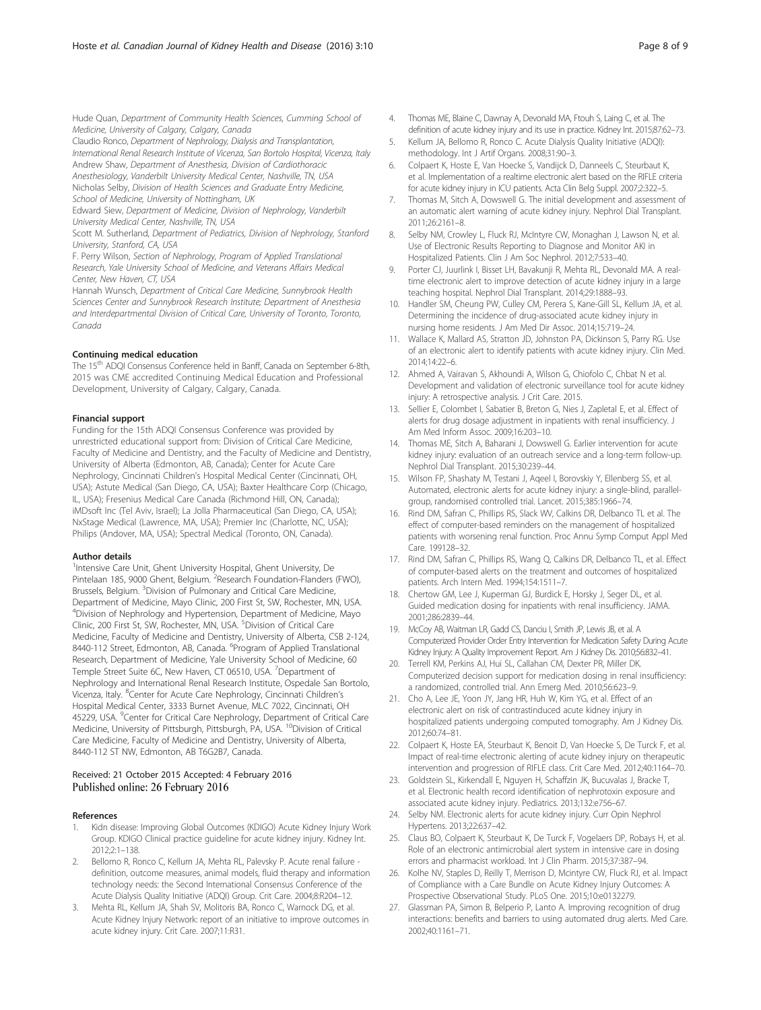<span id="page-7-0"></span>Claudio Ronco, Department of Nephrology, Dialysis and Transplantation,

International Renal Research Institute of Vicenza, San Bortolo Hospital, Vicenza, Italy Andrew Shaw, Department of Anesthesia, Division of Cardiothoracic Anesthesiology, Vanderbilt University Medical Center, Nashville, TN, USA Nicholas Selby, Division of Health Sciences and Graduate Entry Medicine, School of Medicine, University of Nottingham, UK

Edward Siew, Department of Medicine, Division of Nephrology, Vanderbilt University Medical Center, Nashville, TN, USA

Scott M. Sutherland, Department of Pediatrics, Division of Nephrology, Stanford University, Stanford, CA, USA

F. Perry Wilson, Section of Nephrology, Program of Applied Translational Research, Yale University School of Medicine, and Veterans Affairs Medical Center, New Haven, CT, USA

Hannah Wunsch, Department of Critical Care Medicine, Sunnybrook Health Sciences Center and Sunnybrook Research Institute; Department of Anesthesia and Interdepartmental Division of Critical Care, University of Toronto, Toronto, Canada

#### Continuing medical education

The 15<sup>th</sup> ADQI Consensus Conference held in Banff, Canada on September 6-8th, 2015 was CME accredited Continuing Medical Education and Professional Development, University of Calgary, Calgary, Canada.

#### Financial support

Funding for the 15th ADQI Consensus Conference was provided by unrestricted educational support from: Division of Critical Care Medicine, Faculty of Medicine and Dentistry, and the Faculty of Medicine and Dentistry, University of Alberta (Edmonton, AB, Canada); Center for Acute Care Nephrology, Cincinnati Children's Hospital Medical Center (Cincinnati, OH, USA); Astute Medical (San Diego, CA, USA); Baxter Healthcare Corp (Chicago, IL, USA); Fresenius Medical Care Canada (Richmond Hill, ON, Canada); iMDsoft Inc (Tel Aviv, Israel); La Jolla Pharmaceutical (San Diego, CA, USA); NxStage Medical (Lawrence, MA, USA); Premier Inc (Charlotte, NC, USA); Philips (Andover, MA, USA); Spectral Medical (Toronto, ON, Canada).

#### Author details

<sup>1</sup>Intensive Care Unit, Ghent University Hospital, Ghent University, De Pintelaan 185, 9000 Ghent, Belgium. <sup>2</sup>Research Foundation-Flanders (FWO), Brussels, Belgium. <sup>3</sup>Division of Pulmonary and Critical Care Medicine, Department of Medicine, Mayo Clinic, 200 First St, SW, Rochester, MN, USA. 4 Division of Nephrology and Hypertension, Department of Medicine, Mayo Clinic, 200 First St, SW, Rochester, MN, USA. <sup>5</sup> Division of Critical Care Medicine, Faculty of Medicine and Dentistry, University of Alberta, CSB 2-124, 8440-112 Street, Edmonton, AB, Canada. <sup>6</sup>Program of Applied Translational Research, Department of Medicine, Yale University School of Medicine, 60 Temple Street Suite 6C, New Haven, CT 06510, USA. <sup>7</sup>Department of Nephrology and International Renal Research Institute, Ospedale San Bortolo, Vicenza, Italy. <sup>8</sup>Center for Acute Care Nephrology, Cincinnati Children's Hospital Medical Center, 3333 Burnet Avenue, MLC 7022, Cincinnati, OH 45229, USA. <sup>9</sup> Center for Critical Care Nephrology, Department of Critical Care Medicine, University of Pittsburgh, Pittsburgh, PA, USA. <sup>10</sup>Division of Critical Care Medicine, Faculty of Medicine and Dentistry, University of Alberta, 8440-112 ST NW, Edmonton, AB T6G2B7, Canada.

## Received: 21 October 2015 Accepted: 4 February 2016 Published online: 26 February 2016

#### References

- Kidn disease: Improving Global Outcomes (KDIGO) Acute Kidney Injury Work Group. KDIGO Clinical practice guideline for acute kidney injury. Kidney Int. 2012;2:1–138.
- 2. Bellomo R, Ronco C, Kellum JA, Mehta RL, Palevsky P. Acute renal failure definition, outcome measures, animal models, fluid therapy and information technology needs: the Second International Consensus Conference of the Acute Dialysis Quality Initiative (ADQI) Group. Crit Care. 2004;8:R204–12.
- 3. Mehta RL, Kellum JA, Shah SV, Molitoris BA, Ronco C, Warnock DG, et al. Acute Kidney Injury Network: report of an initiative to improve outcomes in acute kidney injury. Crit Care. 2007;11:R31.
- 4. Thomas ME, Blaine C, Dawnay A, Devonald MA, Ftouh S, Laing C, et al. The definition of acute kidney injury and its use in practice. Kidney Int. 2015;87:62–73.
- 5. Kellum JA, Bellomo R, Ronco C. Acute Dialysis Quality Initiative (ADQI): methodology. Int J Artif Organs. 2008;31:90–3.
- 6. Colpaert K, Hoste E, Van Hoecke S, Vandijck D, Danneels C, Steurbaut K, et al. Implementation of a realtime electronic alert based on the RIFLE criteria for acute kidney injury in ICU patients. Acta Clin Belg Suppl. 2007;2:322–5.
- 7. Thomas M, Sitch A, Dowswell G. The initial development and assessment of an automatic alert warning of acute kidney injury. Nephrol Dial Transplant. 2011;26:2161–8.
- Selby NM, Crowley L, Fluck RJ, McIntyre CW, Monaghan J, Lawson N, et al. Use of Electronic Results Reporting to Diagnose and Monitor AKI in Hospitalized Patients. Clin J Am Soc Nephrol. 2012;7:533–40.
- 9. Porter CJ, Juurlink I, Bisset LH, Bavakunji R, Mehta RL, Devonald MA. A realtime electronic alert to improve detection of acute kidney injury in a large teaching hospital. Nephrol Dial Transplant. 2014;29:1888–93.
- 10. Handler SM, Cheung PW, Culley CM, Perera S, Kane-Gill SL, Kellum JA, et al. Determining the incidence of drug-associated acute kidney injury in nursing home residents. J Am Med Dir Assoc. 2014;15:719–24.
- 11. Wallace K, Mallard AS, Stratton JD, Johnston PA, Dickinson S, Parry RG. Use of an electronic alert to identify patients with acute kidney injury. Clin Med. 2014;14:22–6.
- 12. Ahmed A, Vairavan S, Akhoundi A, Wilson G, Chiofolo C, Chbat N et al. Development and validation of electronic surveillance tool for acute kidney injury: A retrospective analysis. J Crit Care. 2015.
- 13. Sellier E, Colombet I, Sabatier B, Breton G, Nies J, Zapletal E, et al. Effect of alerts for drug dosage adjustment in inpatients with renal insufficiency. J Am Med Inform Assoc. 2009;16:203–10.
- 14. Thomas ME, Sitch A, Baharani J, Dowswell G. Earlier intervention for acute kidney injury: evaluation of an outreach service and a long-term follow-up. Nephrol Dial Transplant. 2015;30:239–44.
- 15. Wilson FP, Shashaty M, Testani J, Aqeel I, Borovskiy Y, Ellenberg SS, et al. Automated, electronic alerts for acute kidney injury: a single-blind, parallelgroup, randomised controlled trial. Lancet. 2015;385:1966–74.
- 16. Rind DM, Safran C, Phillips RS, Slack WV, Calkins DR, Delbanco TL et al. The effect of computer-based reminders on the management of hospitalized patients with worsening renal function. Proc Annu Symp Comput Appl Med Care. 199128–32.
- 17. Rind DM, Safran C, Phillips RS, Wang Q, Calkins DR, Delbanco TL, et al. Effect of computer-based alerts on the treatment and outcomes of hospitalized patients. Arch Intern Med. 1994;154:1511–7.
- 18. Chertow GM, Lee J, Kuperman GJ, Burdick E, Horsky J, Seger DL, et al. Guided medication dosing for inpatients with renal insufficiency. JAMA. 2001;286:2839–44.
- 19. McCoy AB, Waitman LR, Gadd CS, Danciu I, Smith JP, Lewis JB, et al. A Computerized Provider Order Entry Intervention for Medication Safety During Acute Kidney Injury: A Quality Improvement Report. Am J Kidney Dis. 2010;56:832–41.
- 20. Terrell KM, Perkins AJ, Hui SL, Callahan CM, Dexter PR, Miller DK. Computerized decision support for medication dosing in renal insufficiency: a randomized, controlled trial. Ann Emerg Med. 2010;56:623–9.
- 21. Cho A, Lee JE, Yoon JY, Jang HR, Huh W, Kim YG, et al. Effect of an electronic alert on risk of contrastinduced acute kidney injury in hospitalized patients undergoing computed tomography. Am J Kidney Dis. 2012;60:74–81.
- 22. Colpaert K, Hoste EA, Steurbaut K, Benoit D, Van Hoecke S, De Turck F, et al. Impact of real-time electronic alerting of acute kidney injury on therapeutic intervention and progression of RIFLE class. Crit Care Med. 2012;40:1164–70.
- 23. Goldstein SL, Kirkendall E, Nguyen H, Schaffzin JK, Bucuvalas J, Bracke T, et al. Electronic health record identification of nephrotoxin exposure and associated acute kidney injury. Pediatrics. 2013;132:e756–67.
- 24. Selby NM. Electronic alerts for acute kidney injury. Curr Opin Nephrol Hypertens. 2013;22:637–42.
- 25. Claus BO, Colpaert K, Steurbaut K, De Turck F, Vogelaers DP, Robays H, et al. Role of an electronic antimicrobial alert system in intensive care in dosing errors and pharmacist workload. Int J Clin Pharm. 2015;37:387–94.
- 26. Kolhe NV, Staples D, Reilly T, Merrison D, Mcintyre CW, Fluck RJ, et al. Impact of Compliance with a Care Bundle on Acute Kidney Injury Outcomes: A Prospective Observational Study. PLoS One. 2015;10:e0132279.
- 27. Glassman PA, Simon B, Belperio P, Lanto A. Improving recognition of drug interactions: benefits and barriers to using automated drug alerts. Med Care. 2002;40:1161–71.